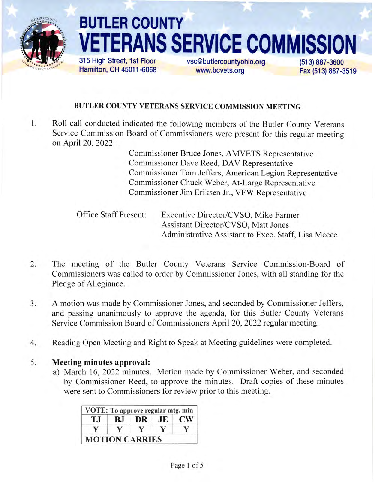

# BUTLER COUNTY **ERANS SERVICE COMMISSION**

315 High Street, 1st FIoor Hamilton, OH 45011-6068 vsc@butlercountyohio.org www.bcvets.org

(513) 887-3600 Fax (513) 887-3519

# BUTLER COUNTY VETERANS SERVICE COMMISSION MEETING

1 Roll call conducted indicated the following members of the Butler County Veterans Service Commission Board of Commissioners were present for this regular meeting on April 20,2022:

> Commissioner Bruce Jones, AMVETS Representative Commissioner Dave Reed, DAV Representative Commissioner Tom Jeffers, American Legion Representative Commissioner Chuck Weber, At-Large Representative Commissioner Jim Eriksen Jr., VFW Representative

Office Staff Present: Executive Director/CVSO, Mike Farmer Assistant Director/CVSO, Matt Jones Administrative Assistant to Exec. Staff, Lisa Meece

- The meeting of the Butler County Veterans Service Commission-Board of Commissioners was called to order by Commissioner Jones, with all standing for the Pledge of Allegiance. 2.
- A motion was made by Commissioner Jones, and seconded by Commissioner Jeffers, and passing unanimously to approve the agenda, for this Butler County Veterans Service Commission Board of Commissioners April 20, 2022 regular meeting.  $3.$
- Reading Open Meeting and Right to Speak at Meeting guidelines were completed. 4

#### Meeting minutes approval: 5.

a) March 16, 2022 minutes. Motion made by Commissioner Weber, and seconded by Commissioner Reed, to approve the minutes. Draft copies of these minutes were sent to Commissioners for review prior to this meeting.

| T.I | B.J | DR | AE | <b>CW</b> |
|-----|-----|----|----|-----------|
|     |     |    |    |           |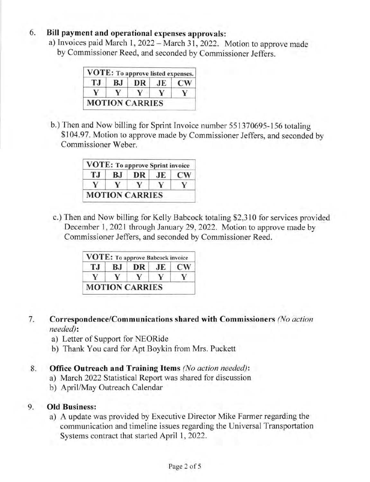# 6. Bill payment and operational expenses approvals:

a) Invoices paid March 1, 2022 - March 31, 2022. Motion to approve made by Commissioner Reed, and seconded by Commissioner Jeffers.

| T.I | BJ | DR | JE | $\mathbf{C}\mathbf{W}$ |
|-----|----|----|----|------------------------|
| V   |    |    | V  |                        |

b.) Then and Now billing for Sprint Invoice number 551370695-156 totaling \$104.97. Motion to approve made by Commissioner Jeffers, and seconded by Commissioner Weber.

| T.J | BJ. | DR | JE. | <b>CW</b> |
|-----|-----|----|-----|-----------|
| v   |     |    |     |           |

c.) Then and Now billing for Kelly Babcock totaling \$2,3 l0 for services provided December 1, 2021 through January 29, 2022. Motion to approve made by Commissioner Jeffers, and seconded by Commissioner Reed.

| T.I | BJ | DR JE | $\mathbb{C}\mathbb{W}$ |
|-----|----|-------|------------------------|
|     |    |       |                        |

- Correspondence/Communications shared with Commissioners (No action needed): 7
	- a) Letter of Support for NEORide
	- b) Thank You card for Apt Boykin from Mrs. Puckett

#### Office Outreach and Training Items (No action needed): 8.

- a) March 2022 Statistical Report was shared for discussion
- b) April/May Outreach Calendar

#### Old Business: 9.

a) A update was provided by Executive Director Mike Farmer regarding the communication and timeline issues regarding the Universal Transportation Systems contract that started April 1, 2022.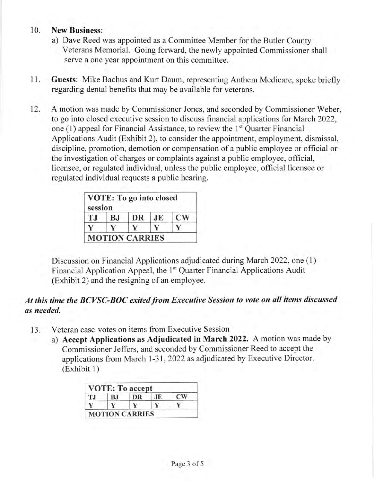## 10. New Business:

- a) Dave Reed was appointed as a Committee Member for the Butler County Veterans Memorial. Going forward, the newly appointed Commissioner shall serve a one year appointment on this committee.
- 11. Guests: Mike Bachus and Kurt Daum, representing Anthem Medicare, spoke briefly regarding dental benefits that may be available for veterans.
- 12. A motion was made by Commissioner Jones, and seconded by Commissioner Weber, to go into closed executive session to discuss financial applications for March 2022, one  $(1)$  appeal for Financial Assistance, to review the  $1<sup>st</sup>$  Quarter Financial Applications Audit (Exhibit 2), to consider the appointment, employment, dismissal, discipline, promotion, demotion or compensation of a public employee or official or the investigation of charges or complaints against a public employee, official, licensee, or regulated individual, unless the public employee, official licensee or regulated individual requests a public hearing.

| BJ | DR | JE | $\mathbf{C}\mathbf{W}$ |
|----|----|----|------------------------|
|    |    |    |                        |
|    |    |    | <b>MOTION CARRIES</b>  |

Discussion on Financial Applications adjudicated during March 2022, one (l) Financial Application Appeal, the 1<sup>st</sup> Quarter Financial Applications Audit (Exhibit 2) and the resigning of an employee.

# At this time the BCVSC-BOC exited from Executive Session to vote on all items discussed as needed.

- Veteran case votes on items from Executive Session 13
	- a) Accept Applications as Adjudicated in March 2022. A motion was made by Commissioner Jeffers, and seconded by Commissioner Reed to accept the applications from March 1-3 1, 2022 as adjudicated by Executive Director. (Exhibit 1)

| <b>TJ</b> | BJ | DR | JE | <b>CW</b> |
|-----------|----|----|----|-----------|
|           |    |    |    |           |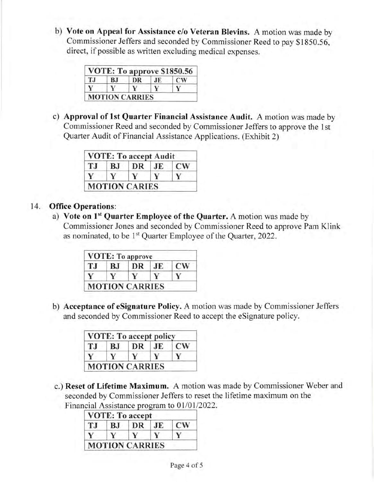b) Vote on Appeal for Assistance c/o Veteran Blevins. A motion was made by Commissioner Jeffers and seconded by Commissioner Reed to pay S1850.56, direct, if possible as written excluding medical expenses.

| T.I | BJ | DR | JE. | CW <sub></sub> |
|-----|----|----|-----|----------------|
|     |    |    |     |                |

c) Approval of lst Quarter Financial Assistance Audit. A motion was made by Commissioner Reed and seconded by Commissioner Jeffers to approve the l st Quarter Audit of Financial Assistance Applications. (Exhibit 2)

| TJ           | <b>BJ</b> | DR | JE. | <b>CW</b> |
|--------------|-----------|----|-----|-----------|
| $\mathbf{V}$ |           |    |     | Y         |

# 14. Office Operations:

a) Vote on 1<sup>st</sup> Quarter Employee of the Quarter. A motion was made by Commissioner Jones and seconded by Commissioner Reed to approve Pam Klink as nominated, to be 1<sup>st</sup> Quarter Employee of the Quarter, 2022.

| ТJ | BJ | DR | .IE | $\mathbf{C}\mathbf{W}$ |
|----|----|----|-----|------------------------|
|    |    |    |     |                        |

b) Acceptance of eSignature Policy. A motion was made by Commissioner Jeffers and seconded by Commissioner Reed to accept the eSignature policy.

|     |    | <b>VOTE: To accept policy</b> |    |           |
|-----|----|-------------------------------|----|-----------|
| T.J | ВJ | DR                            | JE | <b>CW</b> |
|     |    |                               | v  |           |

c.) Reset of Lifetime Maximum. A motion was made by Commissioner Weber and seconded by Commissioner Jeffers to reset the lifetime maximum on the Financial Assistance program to 01/01/2022.

| T.I | <b>BJ</b> | DR | JE | <b>CW</b> |
|-----|-----------|----|----|-----------|
|     |           |    |    |           |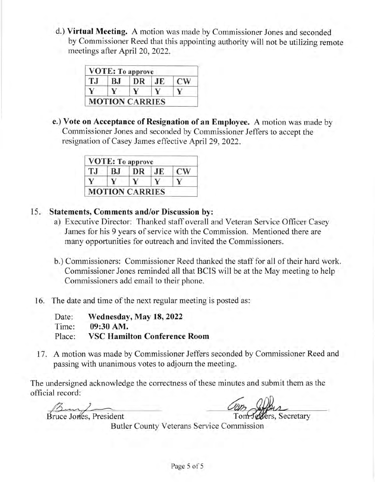d.) Virtual Meeting. A motion was made by Commissioner Jones and seconded by Commissioner Reed that this appointing authority will not be utilizing remote meetings after April 20,2022.

| TJ | BJ | DR | JE | <b>CW</b> |
|----|----|----|----|-----------|
|    |    |    |    |           |

e.) Vote on Acceptance of Resignation of an Employee. A motion was made by Commissioner Jones and seconded by Commissioner Jeffers to accept the resignation of Casey James effective April 29,2022.

| TJ | ВJ | DR | JE | <b>CW</b> |
|----|----|----|----|-----------|
|    |    |    |    |           |

## 15. Statements, Comments and/or Discussion by:

- a) Executive Director: Thanked staff overall and Veteran Service Officer Casey James for his 9 years of service with the Commission. Mentioned there are many opportunities for outreach and invited the Commissioners.
- b.) Commissioners: Commissioner Reed thanked the staff for all of their hard work. Commissioner Jones reminded all that BCIS will be at the May meeting to help Commissioners add email to their phone.
- 16. The date and time of the next regular meeting is posted as:

| Date:  | Wednesday, May 18, 2022             |
|--------|-------------------------------------|
| Time:  | 09:30 AM.                           |
| Place: | <b>VSC Hamilton Conference Room</b> |

17. A motion was made by Commissioner Jeffers seconded by Commissioner Reed and passing with unanimous votes to adjoum the meeting.

The undersigned acknowledge the correctness of these minutes and submit them as the official record:

Bruce Jones, President

Tom Jellers, Secretary Con Alber

Butler County Veterans Service Commission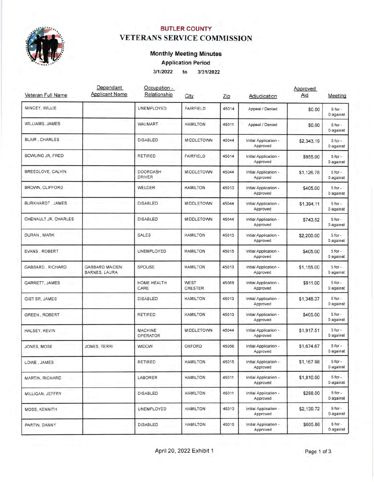

## BUTLER COUNTY VETERANS SERVICE COMMISSION

## Monthly Meeting Minutes

Application Period

31112022 to <sup>313112022</sup>

| Veteran Full Name     | Dependant<br><b>Applicant Name</b>      | Occupation -<br>Relationship     | City                          | Zip   | Adjudication                      | Approved<br>Aid | Meeting                  |
|-----------------------|-----------------------------------------|----------------------------------|-------------------------------|-------|-----------------------------------|-----------------|--------------------------|
| MINCEY, WILLIE        |                                         | UNEMPLOYED                       | <b>FAIRFIELD</b>              | 45014 | Appeal / Denied                   | \$0.00          | $5$ for $-$<br>0 against |
| WILLIAMS, JAMES       |                                         | WALMART                          | <b>HAMILTON</b>               | 45011 | Appeal / Denied                   | \$0.00          | $5$ for $-$<br>0 against |
| <b>BLAIR, CHARLES</b> |                                         | <b>DISABLED</b>                  | <b>MIDDLETOWN</b>             | 45044 | Initial Application -<br>Approved | \$2,343.19      | $5$ for $-$<br>0 against |
| BOWLING JR, FRED      |                                         | <b>RETIRED</b>                   | <b>FAIRFIELD</b>              | 45014 | Initial Application -<br>Approved | \$955.00        | $5$ for -<br>0 against   |
| BREEDLOVE, CALVIN     |                                         | <b>DOORDASH</b><br><b>DRIVER</b> | <b>MIDDLETOWN</b>             | 45044 | Initial Application -<br>Approved | \$1,126.78      | $5$ for $-$<br>0 against |
| BROWN, CLIFFORD       |                                         | WELDER                           | <b>HAMILTON</b>               | 45013 | Initial Application -<br>Approved | \$405.00        | $5$ for $-$<br>0 against |
| BURKHARDT, JAMES      |                                         | <b>DISABLED</b>                  | <b>MIDDLETOWN</b>             | 45044 | Initial Application -<br>Approved | \$1,394.11      | $5$ for $-$<br>0 against |
| CHENAULT JR, CHARLES  |                                         | <b>DISABLED</b>                  | <b>MIDDLETOWN</b>             | 45044 | Initial Application -<br>Approved | \$743.52        | $5$ for $-$<br>0 against |
| DURAN, MARK           |                                         | <b>SALES</b>                     | <b>HAMILTON</b>               | 45013 | Initial Application -<br>Approved | \$2,200.00      | $5$ for $-$<br>0 against |
| EVANS, ROBERT         |                                         | UNEMPLOYED                       | <b>HAMILTON</b>               | 45015 | Initial Application -<br>Approved | \$405.00        | $5$ for $-$<br>0 against |
| GABBARD, RICHARD      | <b>GABBARD MAIDEN:</b><br>BARNES, LAURA | SPOUSE                           | <b>HAMILTON</b>               | 45013 | Initial Application -<br>Approved | \$1,155.00      | $5$ for $-$<br>0 against |
| GARRETT, JAMES        |                                         | HOME HEALTH<br>CARE              | <b>WEST</b><br><b>CHESTER</b> | 45069 | Initial Application -<br>Approved | \$911.00        | $5$ for $-$<br>0 against |
| GIST SR, JAMES        |                                         | <b>DISABLED</b>                  | <b>HAMILTON</b>               | 45013 | Initial Application -<br>Approved | \$1,348.37      | $5$ for $-$<br>0 against |
| <b>GREEN, ROBERT</b>  |                                         | RETIRED                          | <b>HAMILTON</b>               | 45013 | Initial Application -<br>Approved | \$405.00        | $5$ for $-$<br>0 against |
| HALSEY, KEVIN         |                                         | <b>MACHINE</b><br>OPERATOR       | <b>MIDDLETOWN</b>             | 45044 | Initial Application -<br>Approved | \$1,917.51      | $5$ for $-$<br>0 against |
| JONES, MOSE           | JONES, TERRI                            | <b>WIDOW</b>                     | <b>OXFORD</b>                 | 45056 | Initial Application -<br>Approved | \$1,674.67      | 5 for -<br>0 against     |
| LOWE, JAMES           |                                         | <b>RETIRED</b>                   | <b>HAMILTON</b>               | 45015 | Initial Application -<br>Approved | \$1,167.98      | $5$ for $-$<br>0 against |
| MARTIN, RICHARD       |                                         | LABORER                          | <b>HAMILTON</b>               | 45011 | Initial Application -<br>Approved | \$1,810.00      | $5$ for $-$<br>0 against |
| MILLIGAN, JEFFRY      |                                         | <b>DISABLED</b>                  | <b>HAMILTON</b>               | 45011 | Initial Application -<br>Approved | \$288.00        | $5$ for $-$<br>0 against |
| MOSS, KENNITH         |                                         | UNEMPLOYED                       | <b>HAMILTON</b>               | 45013 | Initial Application -<br>Approved | \$2,139.72      | $5$ for $-$<br>0 against |
| PARTIN, DANNY         |                                         | <b>DISABLED</b>                  | <b>HAMILTON</b>               | 45015 | Initial Application -<br>Approved | \$605.86        | $5$ for $-$<br>0 against |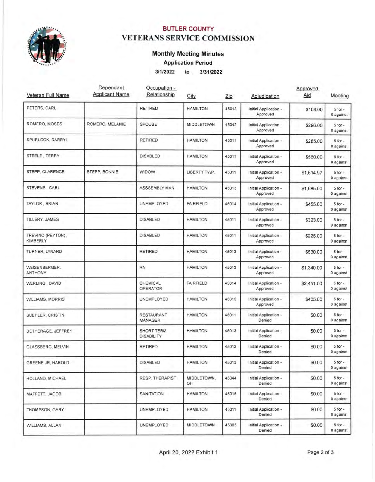

# BUTLER COUNTY VETERANS SERVICE COMMISSION

#### Monthly Meeting Minutes

Application Period

3l'112022 to <sup>313112022</sup>

| Veteran Full Name               | Dependant<br><b>Applicant Name</b> | Occupation -<br>Relationship        | City              | Zip   | Adjudication                      | Approved<br>Aid | Meeting                  |
|---------------------------------|------------------------------------|-------------------------------------|-------------------|-------|-----------------------------------|-----------------|--------------------------|
| PETERS, CARL                    |                                    | <b>RETIRED</b>                      | <b>HAMILTON</b>   | 45013 | Initial Application -<br>Approved | \$108.00        | $5$ for $-$<br>0 against |
| ROMERO, MOSES                   | ROMERO, MELANIE                    | SPOUSE                              | <b>MIDDLETOWN</b> | 45042 | Initial Application -<br>Approved | \$296.00        | $5$ for $-$<br>0 against |
| SPURLOCK, DARRYL                |                                    | <b>RETIRED</b>                      | <b>HAMILTON</b>   | 45011 | Initial Application -<br>Approved | \$285.00        | $5$ for $-$<br>0 against |
| STEELE, TERRY                   |                                    | <b>DISABLED</b>                     | <b>HAMILTON</b>   | 45011 | Initial Application -<br>Approved | \$560.00        | $5$ for $-$<br>0 against |
| STEPP, CLARENCE                 | STEPP, BONNIE                      | <b>WIDOW</b>                        | LIBERTY TWP.      | 45011 | Initial Application -<br>Approved | \$1,614.97      | $5$ for $-$<br>0 against |
| STEVENS, CARL                   |                                    | ASSSEMBLY MAN                       | <b>HAMILTON</b>   | 45013 | Initial Application -<br>Approved | \$1,685.00      | $5$ for $-$<br>0 against |
| TAYLOR, BRIAN                   |                                    | UNEMPLOYED                          | <b>FAIRFIELD</b>  | 45014 | Initial Application -<br>Approved | \$455.00        | $5$ for $-$<br>0 against |
| TILLERY, JAMES                  |                                    | <b>DISABLED</b>                     | <b>HAMILTON</b>   | 45011 | Initial Application -<br>Approved | \$323.00        | $5$ for $-$<br>0 against |
| TREVINO (PEYTON),<br>KIMBERLY   |                                    | <b>DISABLED</b>                     | <b>HAMILTON</b>   | 45011 | Initial Application -<br>Approved | \$225.00        | $5$ for $-$<br>0 against |
| TURNER, LYNARD                  |                                    | <b>RETIRED</b>                      | <b>HAMILTON</b>   | 45013 | Initial Application -<br>Approved | \$530.00        | $5$ for $-$<br>0 against |
| WEISENBERGER.<br><b>ANTHONY</b> |                                    | <b>RN</b>                           | <b>HAMILTON</b>   | 45013 | Initial Application -<br>Approved | \$1,340.00      | $5$ for $-$<br>0 against |
| WERLING, DAVID                  |                                    | CHEMICAL<br><b>OPERATOR</b>         | <b>FAIRFIELD</b>  | 45014 | Initial Application -<br>Approved | \$2,451.00      | $5$ for $-$<br>0 against |
| <b>WILLIAMS, MORRIS</b>         |                                    | UNEMPLOYED                          | <b>HAMILTON</b>   | 45015 | Initial Application -<br>Approved | \$405.00        | $5$ for $-$<br>0 against |
| BUEHLER, CRISTIN                |                                    | <b>RESTAURANT</b><br><b>MANAGER</b> | <b>HAMILTON</b>   | 45011 | Initial Application -<br>Denied   | \$0.00          | $5$ for $-$<br>0 against |
| DETHERAGE, JEFFREY              |                                    | SHORT TERM<br><b>DISABILITY</b>     | <b>HAMILTON</b>   | 45013 | Initial Application -<br>Denied   | \$0.00          | $5$ for $-$<br>0 against |
| GLASSBERG, MELVIN               |                                    | <b>RETIRED</b>                      | <b>HAMILTON</b>   | 45013 | Initial Application -<br>Denied   | \$0.00          | $5$ for $-$<br>0 against |
| GREENE JR, HAROLD               |                                    | <b>DISABLED</b>                     | <b>HAMILTON</b>   | 45013 | Initial Application -<br>Denied   | \$0.00          | $5$ for $-$<br>0 against |
| HOLLAND, MICHAEL                |                                    | RESP. THERAPIST                     | MIDDLETOWN.<br>OH | 45044 | Initial Application -<br>Denied   | \$0.00          | $5$ for $-$<br>0 against |
| MAFFETT, JACOB                  |                                    | SANITATION                          | <b>HAMILTON</b>   | 45015 | Initial Application -<br>Denied   | \$0.00          | $5$ for $-$<br>0 against |
| THOMPSON, GARY                  |                                    | UNEMPLOYED                          | <b>HAMILTON</b>   | 45011 | Initial Application -<br>Denied   | \$0.00          | $5$ for $-$<br>0 against |
| WILLIAMS, ALLAN                 |                                    | UNEMPLOYED                          | MIDDLETOWN        | 45005 | Initial Application -<br>Denied   | \$0.00          | $5$ for $-$<br>0 against |